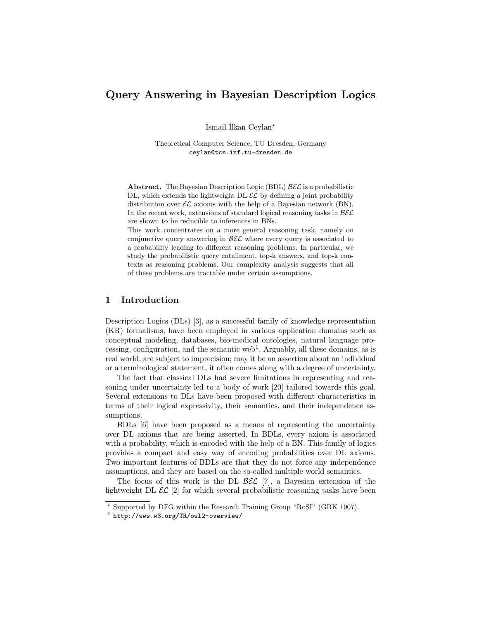# Query Answering in Bayesian Description Logics

˙Ismail ˙Ilkan Ceylan?

Theoretical Computer Science, TU Dresden, Germany ceylan@tcs.inf.tu-dresden.de

**Abstract.** The Bayesian Description Logic (BDL)  $\mathcal{B}\mathcal{E}\mathcal{L}$  is a probabilistic DL, which extends the lightweight DL  $\mathcal{EL}$  by defining a joint probability distribution over  $\mathcal{EL}$  axioms with the help of a Bayesian network (BN). In the recent work, extensions of standard logical reasoning tasks in  $\mathcal{B}\mathcal{E}\mathcal{L}$ are shown to be reducible to inferences in BNs.

This work concentrates on a more general reasoning task, namely on conjunctive query answering in  $\mathcal{B}\mathcal{E}\mathcal{L}$  where every query is associated to a probability leading to different reasoning problems. In particular, we study the probabilistic query entailment, top-k answers, and top-k contexts as reasoning problems. Our complexity analysis suggests that all of these problems are tractable under certain assumptions.

## 1 Introduction

Description Logics (DLs) [3], as a successful family of knowledge representation (KR) formalisms, have been employed in various application domains such as conceptual modeling, databases, bio-medical ontologies, natural language processing, configuration, and the semantic web<sup>1</sup>. Arguably, all these domains, as is real world, are subject to imprecision; may it be an assertion about an individual or a terminological statement, it often comes along with a degree of uncertainty.

The fact that classical DLs had severe limitations in representing and reasoning under uncertainty led to a body of work [20] tailored towards this goal. Several extensions to DLs have been proposed with different characteristics in terms of their logical expressivity, their semantics, and their independence assumptions.

BDLs [6] have been proposed as a means of representing the uncertainty over DL axioms that are being asserted. In BDLs, every axiom is associated with a probability, which is encoded with the help of a BN. This family of logics provides a compact and easy way of encoding probabilities over DL axioms. Two important features of BDLs are that they do not force any independence assumptions, and they are based on the so-called multiple world semantics.

The focus of this work is the DL  $\mathcal{BEL}$  [7], a Bayesian extension of the lightweight DL  $\mathcal{EL}$  [2] for which several probabilistic reasoning tasks have been

<sup>?</sup> Supported by DFG within the Research Training Group "RoSI" (GRK 1907).

<sup>1</sup> http://www.w3.org/TR/owl2-overview/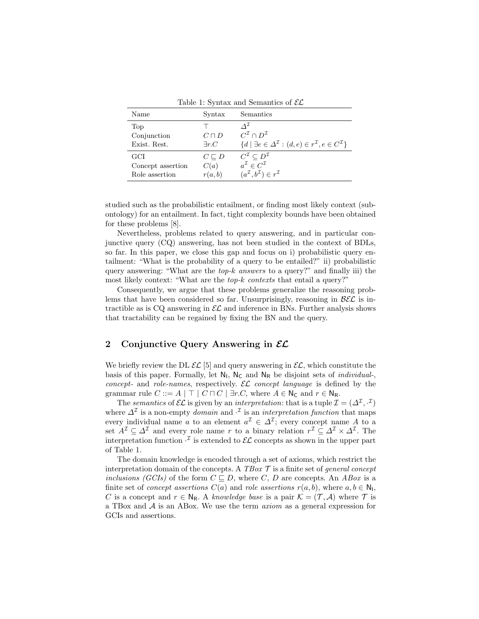| Name                                       | Syntax                            | Semantics                                                                                                                                                           |
|--------------------------------------------|-----------------------------------|---------------------------------------------------------------------------------------------------------------------------------------------------------------------|
| Top<br>Conjunction<br>Exist. Rest.         | $C\sqcap D$<br>$\exists r.C$      | $\Lambda^{\perp}$<br>$C^{\mathcal{I}} \cap D^{\mathcal{I}}$<br>$\{d \mid \exists e \in \Delta^{\mathcal{I}} : (d, e) \in r^{\mathcal{I}}, e \in C^{\mathcal{I}}\}\$ |
| GCI<br>Concept assertion<br>Role assertion | $C \sqsubset D$<br>C(a)<br>r(a,b) | $C^{\mathcal{I}} \subset D^{\mathcal{I}}$<br>$a^{\mathcal{I}} \in C^{\mathcal{I}}$<br>$(a^{\mathcal{I}}, b^{\mathcal{I}}) \in r^{\mathcal{I}}$                      |

Table 1: Syntax and Semantics of  $\mathcal{EL}$ 

studied such as the probabilistic entailment, or finding most likely context (subontology) for an entailment. In fact, tight complexity bounds have been obtained for these problems [8].

Nevertheless, problems related to query answering, and in particular conjunctive query (CQ) answering, has not been studied in the context of BDLs, so far. In this paper, we close this gap and focus on i) probabilistic query entailment: "What is the probability of a query to be entailed?" ii) probabilistic query answering: "What are the  $top-k$  answers to a query?" and finally iii) the most likely context: "What are the  $top-k$  contexts that entail a query?"

Consequently, we argue that these problems generalize the reasoning problems that have been considered so far. Unsurprisingly, reasoning in  $\beta \mathcal{E} \mathcal{L}$  is intractible as is CQ answering in  $\mathcal{EL}$  and inference in BNs. Further analysis shows that tractability can be regained by fixing the BN and the query.

# 2 Conjunctive Query Answering in  $\mathcal{EL}$

We briefly review the DL  $\mathcal{EL}$  [5] and query answering in  $\mathcal{EL}$ , which constitute the basis of this paper. Formally, let  $N_I$ ,  $N_C$  and  $N_R$  be disjoint sets of *individual*-, concept- and role-names, respectively.  $\mathcal{EL}$  concept language is defined by the grammar rule  $C ::= A | \top | C \sqcap C | \exists r.C$ , where  $A \in N_C$  and  $r \in N_R$ .

The semantics of  $\mathcal{EL}$  is given by an interpretation: that is a tuple  $\mathcal{I} = (\Delta^{\mathcal{I}}, \cdot^{\mathcal{I}})$ where  $\Delta^{\mathcal{I}}$  is a non-empty *domain* and  $\cdot^{\mathcal{I}}$  is an *interpretation function* that maps every individual name a to an element  $a^{\mathcal{I}} \in \Delta^{\mathcal{I}}$ ; every concept name A to a set  $A^{\mathcal{I}} \subseteq \Delta^{\mathcal{I}}$  and every role name r to a binary relation  $r^{\mathcal{I}} \subseteq \Delta^{\mathcal{I}} \times \Delta^{\mathcal{I}}$ . The interpretation function  $\cdot^{\mathcal{I}}$  is extended to  $\mathcal{EL}$  concepts as shown in the upper part of Table 1.

The domain knowledge is encoded through a set of axioms, which restrict the interpretation domain of the concepts. A  $TBox \mathcal{T}$  is a finite set of general concept inclusions (GCIs) of the form  $C \sqsubset D$ , where C, D are concepts. An ABox is a finite set of *concept assertions*  $C(a)$  and *role assertions*  $r(a, b)$ , where  $a, b \in \mathbb{N}_1$ , C is a concept and  $r \in N_R$ . A knowledge base is a pair  $\mathcal{K} = (\mathcal{T}, \mathcal{A})$  where  $\mathcal{T}$  is a TBox and  $A$  is an ABox. We use the term  $axiom$  as a general expression for GCIs and assertions.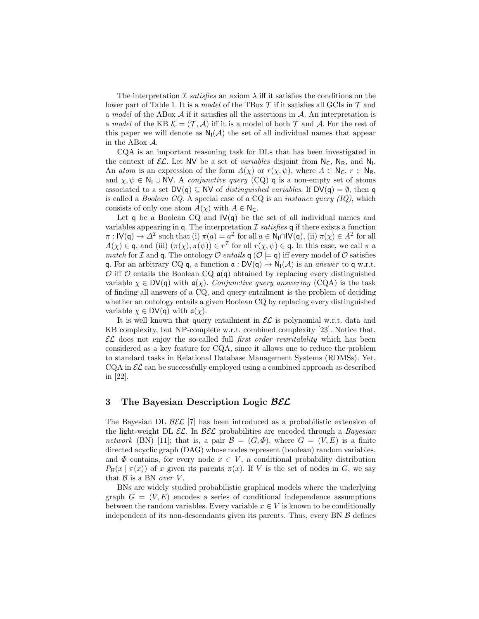The interpretation I satisfies an axiom  $\lambda$  iff it satisfies the conditions on the lower part of Table 1. It is a model of the TBox  $\mathcal T$  if it satisfies all GCIs in  $\mathcal T$  and a model of the ABox  $\mathcal A$  if it satisfies all the assertions in  $\mathcal A$ . An interpretation is a model of the KB  $\mathcal{K} = (\mathcal{T}, \mathcal{A})$  iff it is a model of both  $\mathcal{T}$  and  $\mathcal{A}$ . For the rest of this paper we will denote as  $N_1(\mathcal{A})$  the set of all individual names that appear in the ABox A.

CQA is an important reasoning task for DLs that has been investigated in the context of  $\mathcal{EL}$ . Let NV be a set of *variables* disjoint from  $N_c$ ,  $N_R$ , and  $N_l$ . An atom is an expression of the form  $A(\chi)$  or  $r(\chi, \psi)$ , where  $A \in \mathbb{N}_{\mathsf{C}}$ ,  $r \in \mathbb{N}_{\mathsf{R}}$ , and  $\chi, \psi \in \mathbb{N}_1 \cup \mathbb{N}$ . A *conjunctive query* (CQ) **q** is a non-empty set of atoms associated to a set  $DV(q) \subseteq NV$  of *distinguished variables*. If  $DV(q) = \emptyset$ , then q is called a *Boolean CQ*. A special case of a CQ is an *instance query (IQ)*, which consists of only one atom  $A(\chi)$  with  $A \in \mathbb{N}_{\mathbb{C}}$ .

Let q be a Boolean CQ and  $\mathsf{IV}(\mathsf{q})$  be the set of all individual names and variables appearing in q. The interpretation  $\mathcal I$  satisfies q if there exists a function  $\pi: \mathsf{IV}(\mathsf{q}) \to \Delta^{\mathcal{I}}$  such that (i)  $\pi(a) = a^{\mathcal{I}}$  for all  $a \in \mathsf{N}_{\mathsf{I}} \cap \mathsf{IV}(\mathsf{q}),$  (ii)  $\pi(\chi) \in A^{\mathcal{I}}$  for all  $A(\chi) \in \mathsf{q}$ , and (iii)  $(\pi(\chi), \pi(\psi)) \in r^{\mathcal{I}}$  for all  $r(\chi, \psi) \in \mathsf{q}$ . In this case, we call  $\pi$  a *match* for *I* and **q**. The ontology *O* entails **q** ( $O \models q$ ) iff every model of *O* satisfies q. For an arbitrary CQ q, a function  $\mathfrak{a}: DV(\mathfrak{q}) \to N_1(\mathcal{A})$  is an answer to q w.r.t.  $\mathcal O$  iff  $\mathcal O$  entails the Boolean CQ  $\mathfrak a(\mathfrak q)$  obtained by replacing every distinguished variable  $\chi \in DV(q)$  with  $a(\chi)$ . Conjunctive query answering (CQA) is the task of finding all answers of a CQ, and query entailment is the problem of deciding whether an ontology entails a given Boolean CQ by replacing every distinguished variable  $\chi \in \mathsf{DV}(\mathsf{q})$  with  $\mathfrak{a}(\chi)$ .

It is well known that query entailment in  $\mathcal{EL}$  is polynomial w.r.t. data and KB complexity, but NP-complete w.r.t. combined complexity [23]. Notice that,  $\mathcal{EL}$  does not enjoy the so-called full *first order rewritability* which has been considered as a key feature for CQA, since it allows one to reduce the problem to standard tasks in Relational Database Management Systems (RDMSs). Yet,  $CQA$  in  $\mathcal{EL}$  can be successfully employed using a combined approach as described in [22].

#### 3 The Bayesian Description Logic BEC

The Bayesian DL  $\mathcal{B}\mathcal{E}\mathcal{L}$  [7] has been introduced as a probabilistic extension of the light-weight DL  $\mathcal{EL}$ . In  $\mathcal{BEL}$  probabilities are encoded through a *Bayesian* network (BN) [11]; that is, a pair  $\mathcal{B} = (G, \Phi)$ , where  $G = (V, E)$  is a finite directed acyclic graph (DAG) whose nodes represent (boolean) random variables, and  $\Phi$  contains, for every node  $x \in V$ , a conditional probability distribution  $P_{\mathcal{B}}(x \mid \pi(x))$  of x given its parents  $\pi(x)$ . If V is the set of nodes in G, we say that  $\mathcal{B}$  is a BN *over V*.

BNs are widely studied probabilistic graphical models where the underlying graph  $G = (V, E)$  encodes a series of conditional independence assumptions between the random variables. Every variable  $x \in V$  is known to be conditionally independent of its non-descendants given its parents. Thus, every BN  $\beta$  defines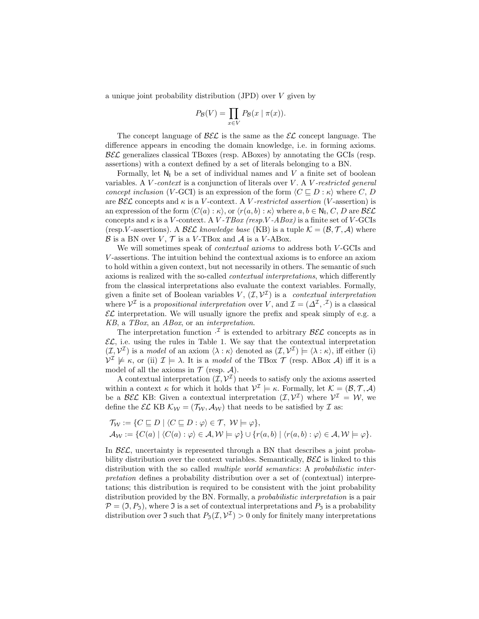a unique joint probability distribution (JPD) over V given by

$$
P_{\mathcal{B}}(V) = \prod_{x \in V} P_{\mathcal{B}}(x \mid \pi(x)).
$$

The concept language of  $\mathcal{BEL}$  is the same as the  $\mathcal{EL}$  concept language. The difference appears in encoding the domain knowledge, i.e. in forming axioms.  $B\mathcal{EL}$  generalizes classical TBoxes (resp. ABoxes) by annotating the GCIs (resp. assertions) with a context defined by a set of literals belonging to a BN.

Formally, let  $N_1$  be a set of individual names and V a finite set of boolean variables. A  $V$ -context is a conjunction of literals over  $V$ . A  $V$ -restricted general concept inclusion (V-GCI) is an expression of the form  $\langle C \sqsubset D : \kappa \rangle$  where C, D are  $\mathcal{B}\mathcal{E}\mathcal{L}$  concepts and  $\kappa$  is a V-context. A V-restricted assertion (V-assertion) is an expression of the form  $\langle C(a) : \kappa \rangle$ , or  $\langle r(a, b) : \kappa \rangle$  where  $a, b \in \mathbb{N}_1$ ,  $C, D$  are  $\mathcal{BEL}$ concepts and  $\kappa$  is a V-context. A V-TBox (resp.V-ABox) is a finite set of V-GCIs (resp.V-assertions). A BEC knowledge base (KB) is a tuple  $\mathcal{K} = (\mathcal{B}, \mathcal{T}, \mathcal{A})$  where  $\mathcal B$  is a BN over  $V, \mathcal T$  is a V-TBox and  $\mathcal A$  is a V-ABox.

We will sometimes speak of contextual axioms to address both V -GCIs and V -assertions. The intuition behind the contextual axioms is to enforce an axiom to hold within a given context, but not necessarily in others. The semantic of such axioms is realized with the so-called contextual interpretations, which differently from the classical interpretations also evaluate the context variables. Formally, given a finite set of Boolean variables  $V, (\mathcal{I}, \mathcal{V}^{\mathcal{I}})$  is a *contextual interpretation* where  $\mathcal{V}^{\mathcal{I}}$  is a propositional interpretation over V, and  $\mathcal{I} = (\Delta^{\mathcal{I}}, \cdot^{\mathcal{I}})$  is a classical  $\mathcal{EL}$  interpretation. We will usually ignore the prefix and speak simply of e.g. a KB, a TBox, an ABox, or an interpretation.

The interpretation function  $\cdot^{\mathcal{I}}$  is extended to arbitrary  $\mathcal{B}\mathcal{E}\mathcal{L}$  concepts as in  $\mathcal{EL}$ , i.e. using the rules in Table 1. We say that the contextual interpretation  $(\mathcal{I}, \mathcal{V}^{\mathcal{I}})$  is a *model* of an axiom  $\langle \lambda : \kappa \rangle$  denoted as  $(\mathcal{I}, \mathcal{V}^{\mathcal{I}}) \models \langle \lambda : \kappa \rangle$ , iff either (i)  $\mathcal{V}^{\mathcal{I}} \not\models \kappa$ , or (ii)  $\mathcal{I} \models \lambda$ . It is a model of the TBox  $\mathcal{T}$  (resp. ABox A) iff it is a model of all the axioms in  $\mathcal T$  (resp.  $\mathcal A$ ).

A contextual interpretation  $(\mathcal{I}, \mathcal{V}^{\mathcal{I}})$  needs to satisfy only the axioms asserted within a context  $\kappa$  for which it holds that  $\mathcal{V}^{\mathcal{I}} \models \kappa$ . Formally, let  $\mathcal{K} = (\mathcal{B}, \mathcal{T}, \mathcal{A})$ be a BEC KB: Given a contextual interpretation  $(\mathcal{I}, \mathcal{V}^{\mathcal{I}})$  where  $\mathcal{V}^{\mathcal{I}} = \mathcal{W}$ , we define the  $\mathcal{EL}$  KB  $\mathcal{K}_{\mathcal{W}} = (\mathcal{T}_{\mathcal{W}}, \mathcal{A}_{\mathcal{W}})$  that needs to be satisfied by  $\mathcal{I}$  as:

$$
\mathcal{T}_{\mathcal{W}} := \{ C \sqsubseteq D \mid \langle C \sqsubseteq D : \varphi \rangle \in \mathcal{T}, \ \mathcal{W} \models \varphi \},\
$$
  

$$
\mathcal{A}_{\mathcal{W}} := \{ C(a) \mid \langle C(a) : \varphi \rangle \in \mathcal{A}, \mathcal{W} \models \varphi \} \cup \{ r(a, b) \mid \langle r(a, b) : \varphi \rangle \in \mathcal{A}, \mathcal{W} \models \varphi \}.
$$

In BEL, uncertainty is represented through a BN that describes a joint probability distribution over the context variables. Semantically,  $\mathcal{B}\mathcal{E}\mathcal{L}$  is linked to this distribution with the so called multiple world semantics: A probabilistic interpretation defines a probability distribution over a set of (contextual) interpretations; this distribution is required to be consistent with the joint probability distribution provided by the BN. Formally, a probabilistic interpretation is a pair  $\mathcal{P} = (\mathfrak{I}, P_{\mathfrak{I}})$ , where  $\mathfrak{I}$  is a set of contextual interpretations and  $P_{\mathfrak{I}}$  is a probability distribution over  $\Im$  such that  $P_{\Im}(\mathcal{I}, \mathcal{V}^{\mathcal{I}}) > 0$  only for finitely many interpretations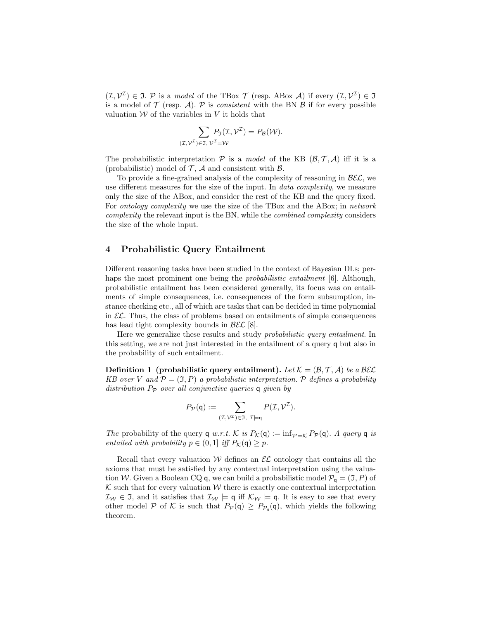$(\mathcal{I}, \mathcal{V}^{\mathcal{I}}) \in \mathfrak{I}$ . P is a model of the TBox  $\mathcal{T}$  (resp. ABox A) if every  $(\mathcal{I}, \mathcal{V}^{\mathcal{I}}) \in \mathfrak{I}$ is a model of  $\mathcal T$  (resp. A).  $\mathcal P$  is *consistent* with the BN  $\mathcal B$  if for every possible valuation  $W$  of the variables in  $V$  it holds that

$$
\sum_{(\mathcal{I},\mathcal{V}^{\mathcal{I}})\in\mathfrak{I},\mathcal{V}^{\mathcal{I}}=\mathcal{W}} P_{\mathfrak{I}}(\mathcal{I},\mathcal{V}^{\mathcal{I}})=P_{\mathcal{B}}(\mathcal{W}).
$$

The probabilistic interpretation  $P$  is a model of the KB  $(\mathcal{B}, \mathcal{T}, \mathcal{A})$  iff it is a (probabilistic) model of  $\mathcal{T}$ ,  $\mathcal{A}$  and consistent with  $\mathcal{B}$ .

To provide a fine-grained analysis of the complexity of reasoning in  $\mathcal{B}\mathcal{E}\mathcal{L}$ , we use different measures for the size of the input. In *data complexity*, we measure only the size of the ABox, and consider the rest of the KB and the query fixed. For ontology complexity we use the size of the TBox and the ABox; in network complexity the relevant input is the BN, while the combined complexity considers the size of the whole input.

## 4 Probabilistic Query Entailment

Different reasoning tasks have been studied in the context of Bayesian DLs; perhaps the most prominent one being the *probabilistic entailment* [6]. Although, probabilistic entailment has been considered generally, its focus was on entailments of simple consequences, i.e. consequences of the form subsumption, instance checking etc., all of which are tasks that can be decided in time polynomial in  $\mathcal{EL}$ . Thus, the class of problems based on entailments of simple consequences has lead tight complexity bounds in  $\mathcal{B}\mathcal{E}\mathcal{L}$  [8].

Here we generalize these results and study probabilistic query entailment. In this setting, we are not just interested in the entailment of a query q but also in the probability of such entailment.

**Definition 1** (probabilistic query entailment). Let  $K = (\mathcal{B}, \mathcal{T}, \mathcal{A})$  be a BEL KB over V and  $\mathcal{P} = (\mathfrak{I}, P)$  a probabilistic interpretation. P defines a probability distribution  $P_P$  over all conjunctive queries q given by

$$
P_{\mathcal{P}}(\mathbf{q}) := \sum_{(\mathcal{I},\mathcal{V}^{\mathcal{I}}) \in \mathfrak{I}, \ \mathcal{I} \models \mathbf{q}} P(\mathcal{I},\mathcal{V}^{\mathcal{I}}).
$$

The probability of the query q w.r.t. K is  $P_{\mathcal{K}}(\mathsf{q}) := \inf_{\mathcal{P} \models \mathcal{K}} P_{\mathcal{P}}(\mathsf{q})$ . A query q is entailed with probability  $p \in (0, 1]$  iff  $P_{\mathcal{K}}(\mathsf{q}) \geq p$ .

Recall that every valuation  $W$  defines an  $\mathcal{EL}$  ontology that contains all the axioms that must be satisfied by any contextual interpretation using the valuation W. Given a Boolean CQ q, we can build a probabilistic model  $\mathcal{P}_{q} = (\mathfrak{I}, P)$  of  $K$  such that for every valuation  $W$  there is exactly one contextual interpretation  $\mathcal{I}_{\mathcal{W}} \in \mathfrak{I}$ , and it satisfies that  $\mathcal{I}_{\mathcal{W}} \models \mathsf{q}$  iff  $\mathcal{K}_{\mathcal{W}} \models \mathsf{q}$ . It is easy to see that every other model P of K is such that  $P_{\mathcal{P}}(\mathsf{q}) \geq P_{\mathcal{P}_{\mathsf{q}}}(\mathsf{q})$ , which yields the following theorem.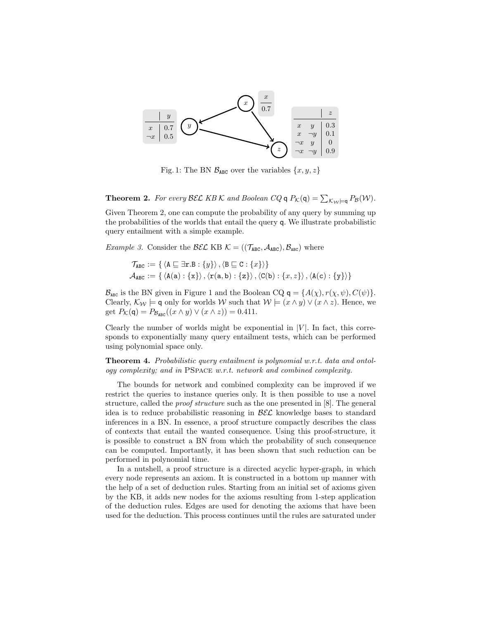

Fig. 1: The BN  $\mathcal{B}_{ABC}$  over the variables  $\{x, y, z\}$ 

**Theorem 2.** For every BEL KB K and Boolean CQ  $q P_{\mathcal{K}}(q) = \sum_{\mathcal{K}_{\mathcal{W}} \models q} P_{\mathcal{B}}(\mathcal{W})$ .

Given Theorem 2, one can compute the probability of any query by summing up the probabilities of the worlds that entail the query q. We illustrate probabilistic query entailment with a simple example.

*Example 3.* Consider the  $\mathcal{BEL}$  KB  $\mathcal{K} = ((\mathcal{T}_{ABC}, \mathcal{A}_{ABC}), \mathcal{B}_{ABC})$  where

$$
\mathcal{T}_{ABC} := \{ \langle A \sqsubseteq \exists \mathbf{r}.B : \{y\} \rangle, \langle B \sqsubseteq C : \{x\} \rangle \}
$$

$$
\mathcal{A}_{ABC} := \{ \langle A(a) : \{x\} \rangle, \langle \mathbf{r}(a, b) : \{z\} \rangle, \langle C(b) : \{x, z\} \rangle, \langle A(c) : \{y\} \rangle \}
$$

 $\mathcal{B}_{\texttt{ABC}}$  is the BN given in Figure 1 and the Boolean CQ  $q = \{A(\chi), r(\chi, \psi), C(\psi)\}.$ Clearly,  $\mathcal{K}_{\mathcal{W}}$  = q only for worlds W such that  $\mathcal{W}$  =  $(x \wedge y) \vee (x \wedge z)$ . Hence, we get  $P_{\mathcal{K}}(\mathsf{q}) = P_{\mathcal{B}_{\text{ARC}}}((x \wedge y) \vee (x \wedge z)) = 0.411.$ 

Clearly the number of worlds might be exponential in  $|V|$ . In fact, this corresponds to exponentially many query entailment tests, which can be performed using polynomial space only.

Theorem 4. Probabilistic query entailment is polynomial w.r.t. data and ontology complexity; and in PSpace w.r.t. network and combined complexity.

The bounds for network and combined complexity can be improved if we restrict the queries to instance queries only. It is then possible to use a novel structure, called the proof structure such as the one presented in [8]. The general idea is to reduce probabilistic reasoning in  $\mathcal{B}\mathcal{E}\mathcal{L}$  knowledge bases to standard inferences in a BN. In essence, a proof structure compactly describes the class of contexts that entail the wanted consequence. Using this proof-structure, it is possible to construct a BN from which the probability of such consequence can be computed. Importantly, it has been shown that such reduction can be performed in polynomial time.

In a nutshell, a proof structure is a directed acyclic hyper-graph, in which every node represents an axiom. It is constructed in a bottom up manner with the help of a set of deduction rules. Starting from an initial set of axioms given by the KB, it adds new nodes for the axioms resulting from 1-step application of the deduction rules. Edges are used for denoting the axioms that have been used for the deduction. This process continues until the rules are saturated under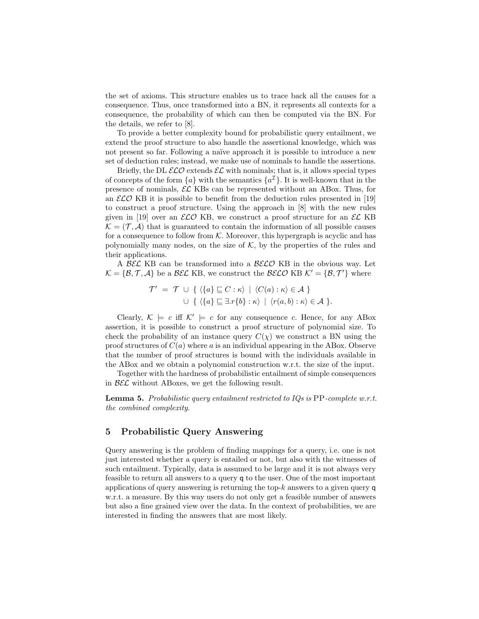the set of axioms. This structure enables us to trace back all the causes for a consequence. Thus, once transformed into a BN, it represents all contexts for a consequence, the probability of which can then be computed via the BN. For the details, we refer to [8].

To provide a better complexity bound for probabilistic query entailment, we extend the proof structure to also handle the assertional knowledge, which was not present so far. Following a naïve approach it is possible to introduce a new set of deduction rules; instead, we make use of nominals to handle the assertions.

Briefly, the DL  $\mathcal{ELO}$  extends  $\mathcal{E}\mathcal{L}$  with nominals; that is, it allows special types of concepts of the form  $\{a\}$  with the semantics  $\{a^{\mathcal{I}}\}$ . It is well-known that in the presence of nominals,  $\mathcal{EL}$  KBs can be represented without an ABox. Thus, for an  $\mathcal{ELO}$  KB it is possible to benefit from the deduction rules presented in [19] to construct a proof structure. Using the approach in [8] with the new rules given in [19] over an  $\mathcal{ELO}$  KB, we construct a proof structure for an  $\mathcal{EL}$  KB  $\mathcal{K} = (\mathcal{T}, \mathcal{A})$  that is guaranteed to contain the information of all possible causes for a consequence to follow from  $K$ . Moreover, this hypergraph is acyclic and has polynomially many nodes, on the size of  $K$ , by the properties of the rules and their applications.

A BEC KB can be transformed into a  $\text{BELO}$  KB in the obvious way. Let  $\mathcal{K} = \{\mathcal{B}, \mathcal{T}, \mathcal{A}\}\$ be a  $\mathcal{BEL}$  KB, we construct the  $\mathcal{BELO}$  KB  $\mathcal{K}' = \{\mathcal{B}, \mathcal{T}'\}\$  where

$$
\mathcal{T}' = \mathcal{T} \cup \{ \langle \{a\} \sqsubseteq C : \kappa \rangle \mid \langle C(a) : \kappa \rangle \in \mathcal{A} \} \cup \{ \langle \{a\} \sqsubseteq \exists . r\{b\} : \kappa \rangle \mid \langle r(a,b) : \kappa \rangle \in \mathcal{A} \}.
$$

Clearly,  $\mathcal{K} \models c$  iff  $\mathcal{K}' \models c$  for any consequence c. Hence, for any ABox assertion, it is possible to construct a proof structure of polynomial size. To check the probability of an instance query  $C(\chi)$  we construct a BN using the proof structures of  $C(a)$  where a is an individual appearing in the ABox. Observe that the number of proof structures is bound with the individuals available in the ABox and we obtain a polynomial construction w.r.t. the size of the input.

Together with the hardness of probabilistic entailment of simple consequences in  $\mathcal{B}\mathcal{E}\mathcal{L}$  without ABoxes, we get the following result.

**Lemma 5.** Probabilistic query entailment restricted to  $IQs$  is  $PP$ -complete w.r.t. the combined complexity.

## 5 Probabilistic Query Answering

Query answering is the problem of finding mappings for a query, i.e. one is not just interested whether a query is entailed or not, but also with the witnesses of such entailment. Typically, data is assumed to be large and it is not always very feasible to return all answers to a query q to the user. One of the most important applications of query answering is returning the top- $k$  answers to a given query  $q$ w.r.t. a measure. By this way users do not only get a feasible number of answers but also a fine grained view over the data. In the context of probabilities, we are interested in finding the answers that are most likely.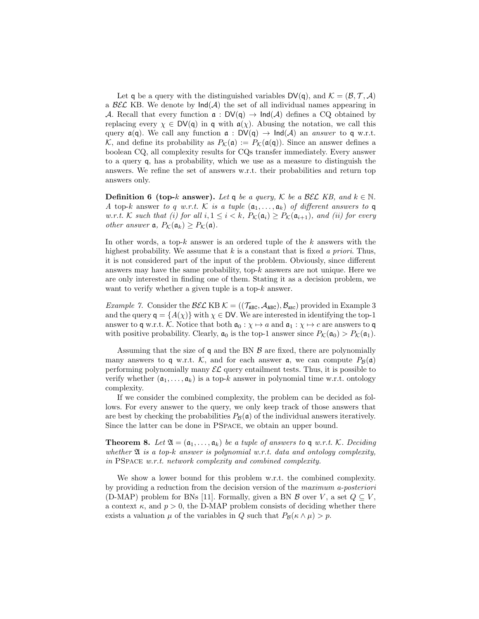Let q be a query with the distinguished variables  $DV(q)$ , and  $\mathcal{K} = (\mathcal{B}, \mathcal{T}, \mathcal{A})$ a  $\mathcal{B}\mathcal{E}\mathcal{L}$  KB. We denote by  $\text{Ind}(\mathcal{A})$  the set of all individual names appearing in A. Recall that every function  $\alpha : DV(q) \to Ind(A)$  defines a CQ obtained by replacing every  $\chi \in DV(q)$  in q with  $a(\chi)$ . Abusing the notation, we call this query  $\mathfrak{a}(\mathfrak{q})$ . We call any function  $\mathfrak{a}: DV(\mathfrak{q}) \to Ind(\mathcal{A})$  an answer to  $\mathfrak{q}$  w.r.t. K, and define its probability as  $P_K(\mathfrak{a}) := P_K(\mathfrak{a}(q))$ . Since an answer defines a boolean CQ, all complexity results for CQs transfer immediately. Every answer to a query q, has a probability, which we use as a measure to distinguish the answers. We refine the set of answers w.r.t. their probabilities and return top answers only.

**Definition 6 (top-k answer).** Let q be a query, K be a BEL KB, and  $k \in \mathbb{N}$ . A top-k answer to q w.r.t. K is a tuple  $(a_1, \ldots, a_k)$  of different answers to q w.r.t. K such that (i) for all  $i, 1 \leq i < k$ ,  $P_{\mathcal{K}}(\mathfrak{a}_i) \geq P_{\mathcal{K}}(\mathfrak{a}_{i+1})$ , and (ii) for every other answer  $a, P_{\mathcal{K}}(\mathfrak{a}_k) \geq P_{\mathcal{K}}(\mathfrak{a}).$ 

In other words, a top- $k$  answer is an ordered tuple of the  $k$  answers with the highest probability. We assume that  $k$  is a constant that is fixed a priori. Thus, it is not considered part of the input of the problem. Obviously, since different answers may have the same probability, top- $k$  answers are not unique. Here we are only interested in finding one of them. Stating it as a decision problem, we want to verify whether a given tuple is a top- $k$  answer.

*Example 7.* Consider the  $\mathcal{BEL}$  KB  $\mathcal{K} = ((\mathcal{T}_{ABC}, \mathcal{A}_{ABC}), \mathcal{B}_{ABC})$  provided in Example 3 and the query  $q = \{A(\chi)\}\$  with  $\chi \in \mathsf{DV}$ . We are interested in identifying the top-1 answer to q w.r.t. K. Notice that both  $\mathfrak{a}_0 : \chi \mapsto a$  and  $\mathfrak{a}_1 : \chi \mapsto c$  are answers to q with positive probability. Clearly,  $\mathfrak{a}_0$  is the top-1 answer since  $P_{\mathcal{K}}(\mathfrak{a}_0) > P_{\mathcal{K}}(\mathfrak{a}_1)$ .

Assuming that the size of q and the BN  $\beta$  are fixed, there are polynomially many answers to q w.r.t. K, and for each answer  $\alpha$ , we can compute  $P_B(\alpha)$ performing polynomially many  $\mathcal{EL}$  query entailment tests. Thus, it is possible to verify whether  $(a_1, \ldots, a_k)$  is a top-k answer in polynomial time w.r.t. ontology complexity.

If we consider the combined complexity, the problem can be decided as follows. For every answer to the query, we only keep track of those answers that are best by checking the probabilities  $P_B(\mathfrak{a})$  of the individual answers iteratively. Since the latter can be done in PSpace, we obtain an upper bound.

**Theorem 8.** Let  $\mathfrak{A} = (\mathfrak{a}_1, \ldots, \mathfrak{a}_k)$  be a tuple of answers to  $\mathfrak{q}$  w.r.t. K. Deciding whether  $\mathfrak A$  is a top-k answer is polynomial w.r.t. data and ontology complexity, in PSpace w.r.t. network complexity and combined complexity.

We show a lower bound for this problem w.r.t. the combined complexity. by providing a reduction from the decision version of the maximum a-posteriori (D-MAP) problem for BNs [11]. Formally, given a BN  $\mathcal{B}$  over V, a set  $Q \subseteq V$ , a context  $\kappa$ , and  $p > 0$ , the D-MAP problem consists of deciding whether there exists a valuation  $\mu$  of the variables in Q such that  $P_{\mathcal{B}}(\kappa \wedge \mu) > p$ .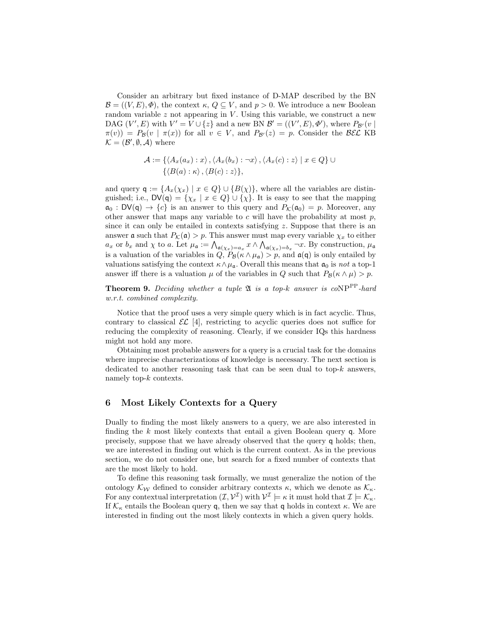Consider an arbitrary but fixed instance of D-MAP described by the BN  $\mathcal{B} = ((V, E), \Phi)$ , the context  $\kappa, Q \subseteq V$ , and  $p > 0$ . We introduce a new Boolean random variable  $z$  not appearing in  $V$ . Using this variable, we construct a new DAG  $(V', E)$  with  $V' = V \cup \{z\}$  and a new BN  $\mathcal{B}' = ((V', E), \Phi')$ , where  $P_{\mathcal{B}'}(v \mid$  $\pi(v) = P_{\mathcal{B}}(v \mid \pi(x))$  for all  $v \in V$ , and  $P_{\mathcal{B}'}(z) = p$ . Consider the  $\mathcal{BEL}$  KB  $\mathcal{K} = (\mathcal{B}', \emptyset, \mathcal{A})$  where

$$
\mathcal{A} := \{ \langle A_x(a_x) : x \rangle, \langle A_x(b_x) : \neg x \rangle, \langle A_x(c) : z \rangle \mid x \in Q \} \cup \{ \langle B(a) : \kappa \rangle, \langle B(c) : z \rangle \},
$$

and query  $\mathsf{q} := \{A_x(\chi_x) \mid x \in Q\} \cup \{B(\chi)\}\$ , where all the variables are distinguished; i.e.,  $\mathsf{DV}(\mathsf{q}) = \{\chi_x \mid x \in Q\} \cup \{\chi\}$ . It is easy to see that the mapping  $\mathfrak{a}_0$ :  $DV(\mathfrak{q}) \to \{c\}$  is an answer to this query and  $P_{\mathcal{K}}(\mathfrak{a}_0) = p$ . Moreover, any other answer that maps any variable to c will have the probability at most  $p$ , since it can only be entailed in contexts satisfying  $z$ . Suppose that there is an answer **a** such that  $P_{\mathcal{K}}(\mathfrak{a}) > p$ . This answer must map every variable  $\chi_x$  to either  $a_x$  or  $b_x$  and  $\chi$  to a. Let  $\mu_{\mathfrak{a}} := \bigwedge_{\mathfrak{a}(\chi_x) = a_x} x \wedge \bigwedge_{\mathfrak{a}(\chi_x) = b_x} \neg x$ . By construction,  $\mu_{\mathfrak{a}}$ is a valuation of the variables in  $Q$ ,  $P_{\mathcal{B}}(\kappa \wedge \mu_{\mathfrak{a}}) > p$ , and  $\mathfrak{a}(\mathfrak{q})$  is only entailed by valuations satisfying the context  $\kappa \wedge \mu_{\mathfrak{a}}$ . Overall this means that  $\mathfrak{a}_0$  is not a top-1 answer iff there is a valuation  $\mu$  of the variables in Q such that  $P_{\mathcal{B}}(\kappa \wedge \mu) > p$ .

**Theorem 9.** Deciding whether a tuple  $\mathfrak{A}$  is a top-k answer is coNP<sup>PP</sup>-hard w.r.t. combined complexity.

Notice that the proof uses a very simple query which is in fact acyclic. Thus, contrary to classical  $\mathcal{EL}$  [4], restricting to acyclic queries does not suffice for reducing the complexity of reasoning. Clearly, if we consider IQs this hardness might not hold any more.

Obtaining most probable answers for a query is a crucial task for the domains where imprecise characterizations of knowledge is necessary. The next section is dedicated to another reasoning task that can be seen dual to top- $k$  answers, namely top-k contexts.

# 6 Most Likely Contexts for a Query

Dually to finding the most likely answers to a query, we are also interested in finding the  $k$  most likely contexts that entail a given Boolean query q. More precisely, suppose that we have already observed that the query q holds; then, we are interested in finding out which is the current context. As in the previous section, we do not consider one, but search for a fixed number of contexts that are the most likely to hold.

To define this reasoning task formally, we must generalize the notion of the ontology  $\mathcal{K}_{\mathcal{W}}$  defined to consider arbitrary contexts  $\kappa$ , which we denote as  $\mathcal{K}_{\kappa}$ . For any contextual interpretation  $(\mathcal{I}, \mathcal{V}^{\mathcal{I}})$  with  $\mathcal{V}^{\mathcal{I}} \models \kappa$  it must hold that  $\mathcal{I} \models \mathcal{K}_{\kappa}$ . If  $\mathcal{K}_{\kappa}$  entails the Boolean query q, then we say that q holds in context  $\kappa$ . We are interested in finding out the most likely contexts in which a given query holds.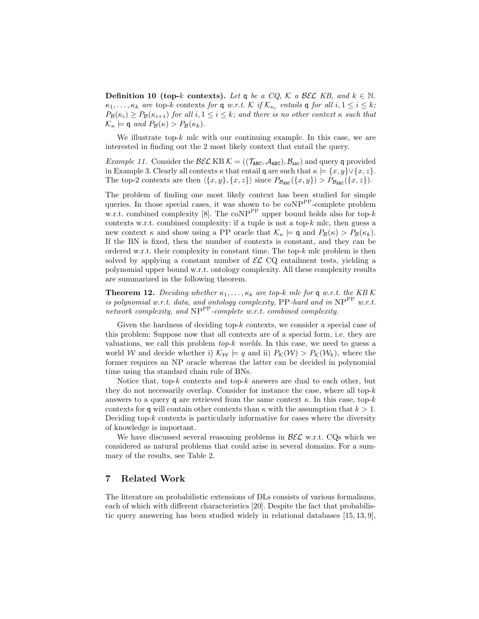**Definition 10 (top-k contexts).** Let q be a CQ, K a BEL KB, and  $k \in \mathbb{N}$ .  $\kappa_1, \ldots, \kappa_k$  are top-k contexts for **q** w.r.t. K if  $\mathcal{K}_{\kappa_i}$  entails **q** for all  $i, 1 \leq i \leq k$ ;  $P_{\mathcal{B}}(\kappa_i) \ge P_{\mathcal{B}}(\kappa_{i+1})$  for all  $i, 1 \le i \le k$ ; and there is no other context  $\kappa$  such that  $\mathcal{K}_{\kappa} \models \mathsf{q}$  and  $P_{\mathcal{B}}(\kappa) > P_{\mathcal{B}}(\kappa_k)$ .

We illustrate top- $k$  mlc with our continuing example. In this case, we are interested in finding out the 2 most likely context that entail the query.

*Example 11.* Consider the  $\mathcal{BEL}$  KB  $\mathcal{K} = ((\mathcal{T}_{ABC}, \mathcal{A}_{ABC}), \mathcal{B}_{ABC})$  and query q provided in Example 3. Clearly all contexts  $\kappa$  that entail q are such that  $\kappa \models \{x, y\} \vee \{x, z\}.$ The top-2 contexts are then  $\langle \{x, y\}, \{x, z\} \rangle$  since  $P_{\mathcal{B}_{\text{ABC}}}(\{x, y\}) > P_{\mathcal{B}_{\text{ABC}}}(\{x, z\}).$ 

The problem of finding one most likely context has been studied for simple queries. In those special cases, it was shown to be  $\mathrm{coNP}^{\mathrm{PP}}$ -complete problem w.r.t. combined complexity [8]. The coNP<sup>PP</sup> upper bound holds also for top-k contexts w.r.t. combined complexity: if a tuple is not a top- $k$  mlc, then guess a new context  $\kappa$  and show using a PP oracle that  $\mathcal{K}_{\kappa} \models \mathsf{q}$  and  $P_{\mathcal{B}}(\kappa) > P_{\mathcal{B}}(\kappa_k)$ . If the BN is fixed, then the number of contexts is constant, and they can be ordered w.r.t. their complexity in constant time. The top- $k$  mlc problem is then solved by applying a constant number of  $\mathcal{EL}$  CQ entailment tests, yielding a polynomial upper bound w.r.t. ontology complexity. All these complexity results are summarized in the following theorem.

**Theorem 12.** Deciding whether  $\kappa_1, \ldots, \kappa_k$  are top-k mlc for q w.r.t. the KB K is polynomial w.r.t. data, and ontology complexity, PP-hard and in  $NP^{PP}$  w.r.t. network complexity, and  $NP^{PP}$ -complete w.r.t. combined complexity.

Given the hardness of deciding top-k contexts, we consider a special case of this problem: Suppose now that all contexts are of a special form, i.e. they are valuations, we call this problem  $top-k$  worlds. In this case, we need to guess a world W and decide whether i)  $\mathcal{K}_W \models q$  and ii)  $P_{\mathcal{K}}(\mathcal{W}) > P_{\mathcal{K}}(\mathcal{W}_k)$ , where the former requires an NP oracle whereas the latter can be decided in polynomial time using tha standard chain rule of BNs.

Notice that, top- $k$  contexts and top- $k$  answers are dual to each other, but they do not necessarily overlap. Consider for instance the case, where all top- $k$ answers to a query q are retrieved from the same context  $\kappa$ . In this case, top- $k$ contexts for q will contain other contexts than  $\kappa$  with the assumption that  $k > 1$ . Deciding top- $k$  contexts is particularly informative for cases where the diversity of knowledge is important.

We have discussed several reasoning problems in  $\mathcal{B}\mathcal{E}\mathcal{L}$  w.r.t. CQs which we considered as natural problems that could arise in several domains. For a summary of the results, see Table 2.

# 7 Related Work

The literature on probabilistic extensions of DLs consists of various formalisms, each of which with different characteristics [20]. Despite the fact that probabilistic query answering has been studied widely in relational databases [15, 13, 9],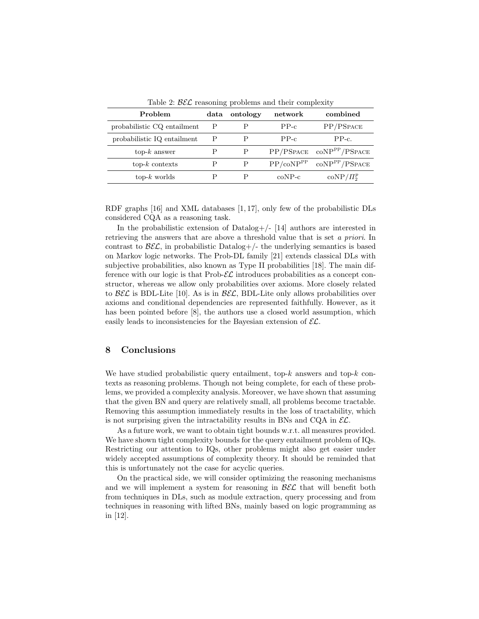| Problem                     | data | ontology     | network               | combined                          |
|-----------------------------|------|--------------|-----------------------|-----------------------------------|
| probabilistic CQ entailment | Р    |              | $PP-c$                | PP/PSPACE                         |
| probabilistic IQ entailment | Р    |              | $PP-c$                | $PP-c.$                           |
| $top-k$ answer              |      | P            | PP/PSPACE             | $\text{coNP}^{\text{PP}}$ /PSPACE |
| $top-k$ contexts            | Ρ    | $\mathbf{P}$ | PP/coNP <sup>PP</sup> | coNP <sup>PP</sup> /PSPACE        |
| $top-k$ worlds              |      |              | $coNP-c$              | $coNP/\Pi_2^p$                    |

Table 2:  $\mathcal{B}\mathcal{E}\mathcal{L}$  reasoning problems and their complexity

RDF graphs [16] and XML databases [1, 17], only few of the probabilistic DLs considered CQA as a reasoning task.

In the probabilistic extension of Datalog+/- [14] authors are interested in retrieving the answers that are above a threshold value that is set a priori. In contrast to  $\mathcal{B}\mathcal{E}\mathcal{L}$ , in probabilistic Datalog+/- the underlying semantics is based on Markov logic networks. The Prob-DL family [21] extends classical DLs with subjective probabilities, also known as Type II probabilities [18]. The main difference with our logic is that  $Prob$ - $\mathcal{EL}$  introduces probabilities as a concept constructor, whereas we allow only probabilities over axioms. More closely related to  $\mathcal{B}\mathcal{E}\mathcal{L}$  is BDL-Lite [10]. As is in  $\mathcal{B}\mathcal{E}\mathcal{L}$ , BDL-Lite only allows probabilities over axioms and conditional dependencies are represented faithfully. However, as it has been pointed before [8], the authors use a closed world assumption, which easily leads to inconsistencies for the Bayesian extension of  $\mathcal{EL}$ .

#### 8 Conclusions

We have studied probabilistic query entailment, top- $k$  answers and top- $k$  contexts as reasoning problems. Though not being complete, for each of these problems, we provided a complexity analysis. Moreover, we have shown that assuming that the given BN and query are relatively small, all problems become tractable. Removing this assumption immediately results in the loss of tractability, which is not surprising given the intractability results in BNs and CQA in  $\mathcal{EL}$ .

As a future work, we want to obtain tight bounds w.r.t. all measures provided. We have shown tight complexity bounds for the query entailment problem of IQs. Restricting our attention to IQs, other problems might also get easier under widely accepted assumptions of complexity theory. It should be reminded that this is unfortunately not the case for acyclic queries.

On the practical side, we will consider optimizing the reasoning mechanisms and we will implement a system for reasoning in  $\mathcal{B}\mathcal{E}\mathcal{L}$  that will benefit both from techniques in DLs, such as module extraction, query processing and from techniques in reasoning with lifted BNs, mainly based on logic programming as in [12].